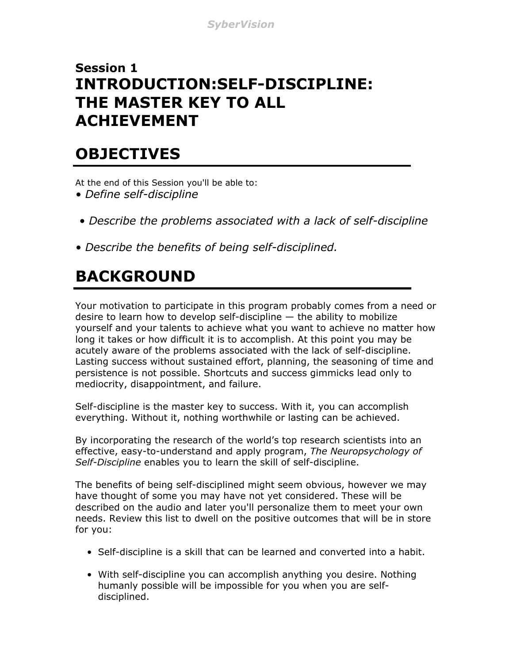#### **Session 1 INTRODUCTION:SELF-DISCIPLINE: THE MASTER KEY TO ALL ACHIEVEMENT**

### **OBJECTIVES**

At the end of this Session you'll be able to:

- *Define self-discipline*
- *Describe the problems associated with a lack of self-discipline*
- *Describe the benefits of being self-disciplined.*

# **BACKGROUND**

Your motivation to participate in this program probably comes from a need or desire to learn how to develop self-discipline — the ability to mobilize yourself and your talents to achieve what you want to achieve no matter how long it takes or how difficult it is to accomplish. At this point you may be acutely aware of the problems associated with the lack of self-discipline. Lasting success without sustained effort, planning, the seasoning of time and persistence is not possible. Shortcuts and success gimmicks lead only to mediocrity, disappointment, and failure.

Self-discipline is the master key to success. With it, you can accomplish everything. Without it, nothing worthwhile or lasting can be achieved.

By incorporating the research of the world's top research scientists into an effective, easy-to-understand and apply program, *The Neuropsychology of Self-Discipline* enables you to learn the skill of self-discipline.

The benefits of being self-disciplined might seem obvious, however we may have thought of some you may have not yet considered. These will be described on the audio and later you'll personalize them to meet your own needs. Review this list to dwell on the positive outcomes that will be in store for you:

- *•* Self-discipline is a skill that can be learned and converted into a habit.
- *•* With self-discipline you can accomplish anything you desire. Nothing humanly possible will be impossible for you when you are self disciplined.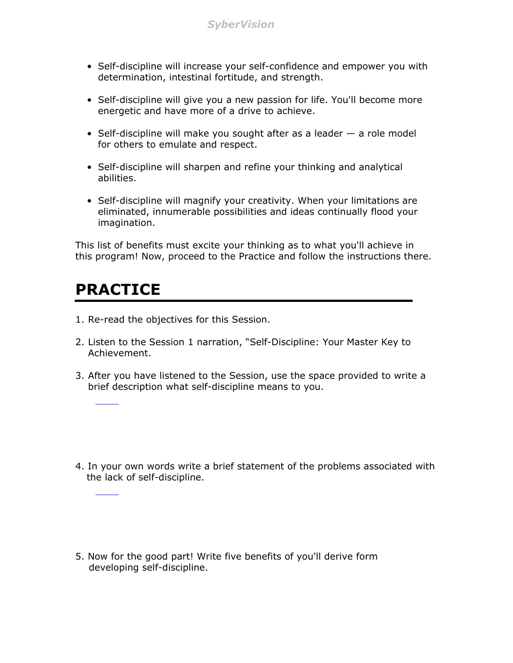- *•* Self-discipline will increase your self-confidence and empower you with determination, intestinal fortitude, and strength.
- *•* Self-discipline will give you a new passion for life. You'll become more energetic and have more of a drive to achieve.
- *•* Self-discipline will make you sought after as a leader a role model for others to emulate and respect.
- *•* Self-discipline will sharpen and refine your thinking and analytical abilities.
- *•* Self-discipline will magnify your creativity. When your limitations are eliminated, innumerable possibilities and ideas continually flood your imagination.

This list of benefits must excite your thinking as to what you'll achieve in this program! Now, proceed to the Practice and follow the instructions there.

### **PRACTICE**

- 1. Re-read the objectives for this Session.
- 2. Listen to the Session 1 narration, "Self-Discipline: Your Master Key to Achievement.
- 3. After you have listened to the Session, use the space provided to write a brief description what self-discipline means to you.

4. In your own words write a brief statement of the problems associated with the lack of self-discipline.

5. Now for the good part! Write five benefits of you'll derive form developing self-discipline.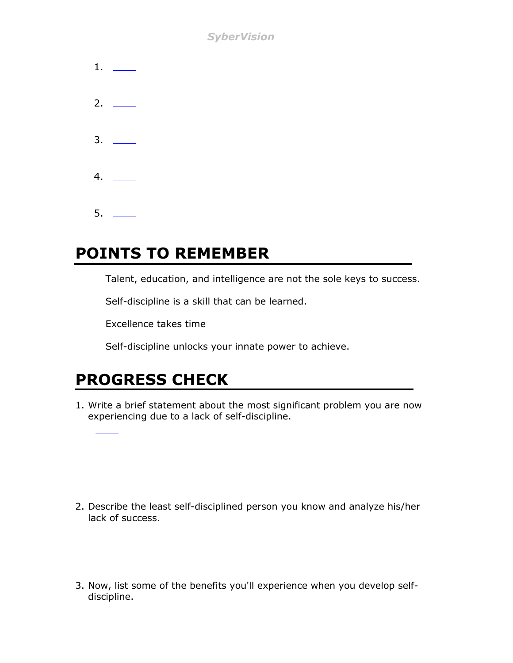*SyberVision*

| $1.$ ___                      |  |
|-------------------------------|--|
| 2. $\qquad$                   |  |
|                               |  |
| $4. \quad \underline{\qquad}$ |  |
|                               |  |

### **POINTS TO REMEMBER**

Talent, education, and intelligence are not the sole keys to success.

Self-discipline is a skill that can be learned.

Excellence takes time

Self-discipline unlocks your innate power to achieve.

## **PROGRESS CHECK**

1. Write a brief statement about the most significant problem you are now experiencing due to a lack of self-discipline.

- 2. Describe the least self-disciplined person you know and analyze his/her lack of success.
- 3. Now, list some of the benefits you'll experience when you develop selfdiscipline.